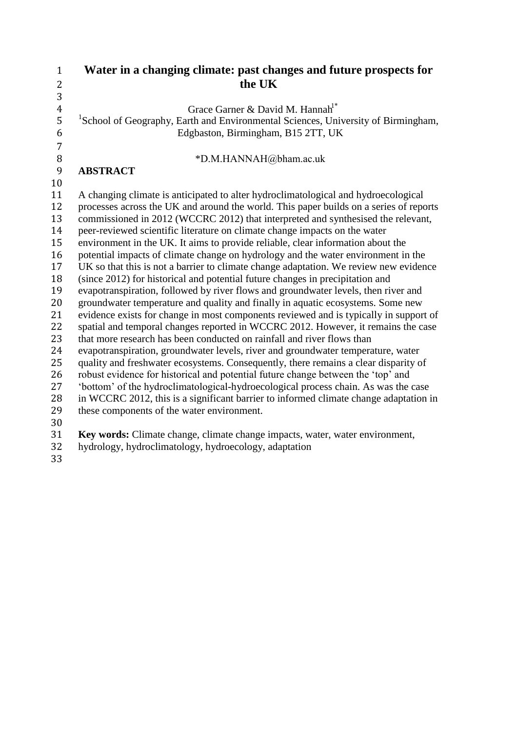| $\mathbf{1}$   | Water in a changing climate: past changes and future prospects for                                                                                                     |
|----------------|------------------------------------------------------------------------------------------------------------------------------------------------------------------------|
| 2              | the UK                                                                                                                                                                 |
| 3              |                                                                                                                                                                        |
| $\overline{4}$ | Grace Garner & David M. Hannah <sup>1*</sup>                                                                                                                           |
| 5              | <sup>1</sup> School of Geography, Earth and Environmental Sciences, University of Birmingham,                                                                          |
| 6              | Edgbaston, Birmingham, B15 2TT, UK                                                                                                                                     |
| $\overline{7}$ |                                                                                                                                                                        |
| $\, 8$         | *D.M.HANNAH@bham.ac.uk                                                                                                                                                 |
| 9              | <b>ABSTRACT</b>                                                                                                                                                        |
| 10             |                                                                                                                                                                        |
| 11             | A changing climate is anticipated to alter hydroclimatological and hydroecological                                                                                     |
| 12             | processes across the UK and around the world. This paper builds on a series of reports                                                                                 |
| 13             | commissioned in 2012 (WCCRC 2012) that interpreted and synthesised the relevant,                                                                                       |
| 14             | peer-reviewed scientific literature on climate change impacts on the water                                                                                             |
| 15             | environment in the UK. It aims to provide reliable, clear information about the                                                                                        |
| 16<br>17       | potential impacts of climate change on hydrology and the water environment in the                                                                                      |
| 18             | UK so that this is not a barrier to climate change adaptation. We review new evidence<br>(since 2012) for historical and potential future changes in precipitation and |
| 19             | evapotranspiration, followed by river flows and groundwater levels, then river and                                                                                     |
| 20             | groundwater temperature and quality and finally in aquatic ecosystems. Some new                                                                                        |
| 21             | evidence exists for change in most components reviewed and is typically in support of                                                                                  |
| 22             | spatial and temporal changes reported in WCCRC 2012. However, it remains the case                                                                                      |
| 23             | that more research has been conducted on rainfall and river flows than                                                                                                 |
| 24             | evapotranspiration, groundwater levels, river and groundwater temperature, water                                                                                       |
| 25             | quality and freshwater ecosystems. Consequently, there remains a clear disparity of                                                                                    |
| 26             | robust evidence for historical and potential future change between the 'top' and                                                                                       |
| 27             | 'bottom' of the hydroclimatological-hydroecological process chain. As was the case                                                                                     |
| 28             | in WCCRC 2012, this is a significant barrier to informed climate change adaptation in                                                                                  |
| 29             | these components of the water environment.                                                                                                                             |
| 30             |                                                                                                                                                                        |
| 31             | Key words: Climate change, climate change impacts, water, water environment,                                                                                           |
| 32             | hydrology, hydroclimatology, hydroecology, adaptation                                                                                                                  |

 $\frac{32}{33}$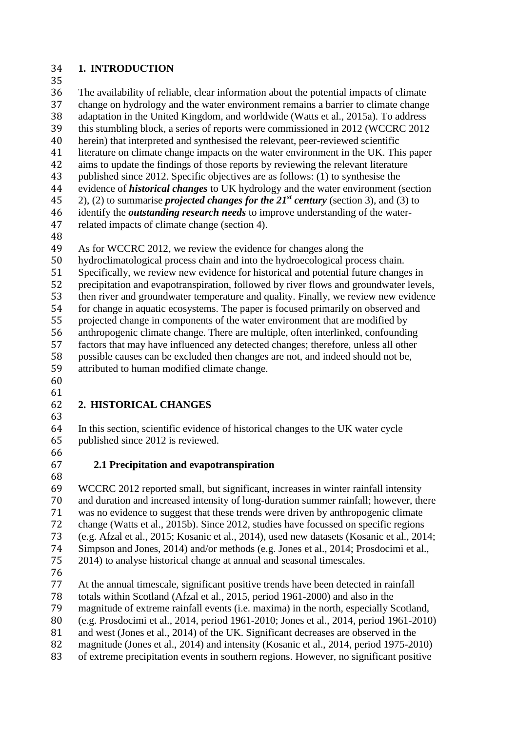#### **1. INTRODUCTION**

35<br>36 The availability of reliable, clear information about the potential impacts of climate change on hydrology and the water environment remains a barrier to climate change 38 adaptation in the United Kingdom, and worldwide (Watts et al., 2015a). To address<br>39 this stumbling block, a series of reports were commissioned in 2012 (WCCRC 2012 this stumbling block, a series of reports were commissioned in 2012 (WCCRC 2012 herein) that interpreted and synthesised the relevant, peer-reviewed scientific literature on climate change impacts on the water environment in the UK. This paper aims to update the findings of those reports by reviewing the relevant literature published since 2012. Specific objectives are as follows: (1) to synthesise the evidence of *historical changes* to UK hydrology and the water environment (section 45 (2), (2) to summarise *projected changes for the*  $21<sup>st</sup>$  *century* (section 3), and (3) to identify the *outstanding research needs* to improve understanding of the water-related impacts of climate change (section 4).

As for WCCRC 2012, we review the evidence for changes along the

hydroclimatological process chain and into the hydroecological process chain.

Specifically, we review new evidence for historical and potential future changes in

 precipitation and evapotranspiration, followed by river flows and groundwater levels, then river and groundwater temperature and quality. Finally, we review new evidence for change in aquatic ecosystems. The paper is focused primarily on observed and

 projected change in components of the water environment that are modified by anthropogenic climate change. There are multiple, often interlinked, confounding factors that may have influenced any detected changes; therefore, unless all other possible causes can be excluded then changes are not, and indeed should not be,

attributed to human modified climate change.

 

# **2. HISTORICAL CHANGES**

 In this section, scientific evidence of historical changes to the UK water cycle published since 2012 is reviewed.

# **2.1 Precipitation and evapotranspiration**

 WCCRC 2012 reported small, but significant, increases in winter rainfall intensity and duration and increased intensity of long-duration summer rainfall; however, there was no evidence to suggest that these trends were driven by anthropogenic climate change (Watts et al., 2015b). Since 2012, studies have focussed on specific regions (e.g. Afzal et al., 2015; Kosanic et al., 2014), used new datasets (Kosanic et al., 2014; Simpson and Jones, 2014) and/or methods (e.g. Jones et al., 2014; Prosdocimi et al., 2014) to analyse historical change at annual and seasonal timescales.

At the annual timescale, significant positive trends have been detected in rainfall

totals within Scotland (Afzal et al., 2015, period 1961-2000) and also in the

magnitude of extreme rainfall events (i.e. maxima) in the north, especially Scotland,

(e.g. Prosdocimi et al., 2014, period 1961-2010; Jones et al., 2014, period 1961-2010)

and west (Jones et al., 2014) of the UK. Significant decreases are observed in the

magnitude (Jones et al., 2014) and intensity (Kosanic et al., 2014, period 1975-2010)

of extreme precipitation events in southern regions. However, no significant positive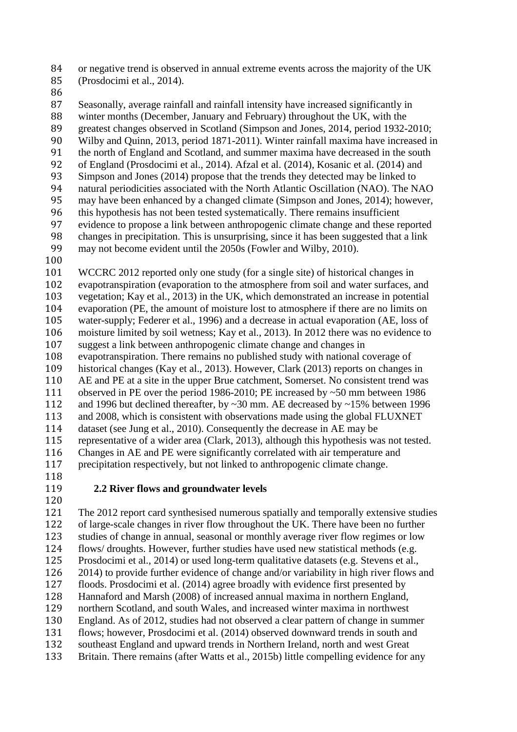or negative trend is observed in annual extreme events across the majority of the UK (Prosdocimi et al., 2014).

 Seasonally, average rainfall and rainfall intensity have increased significantly in 88 winter months (December, January and February) throughout the UK, with the greatest changes observed in Scotland (Simpson and Jones, 2014, period 1932greatest changes observed in Scotland (Simpson and Jones, 2014, period 1932-2010; 90 Wilby and Quinn, 2013, period 1871-2011). Winter rainfall maxima have increased in the north of England and Scotland, and summer maxima have decreased in the south the north of England and Scotland, and summer maxima have decreased in the south 92 of England (Prosdocimi et al., 2014). Afzal et al. (2014), Kosanic et al. (2014) and<br>93 Simpson and Jones (2014) propose that the trends they detected may be linked to 93 Simpson and Jones (2014) propose that the trends they detected may be linked to<br>94 natural periodicities associated with the North Atlantic Oscillation (NAO). The N 94 natural periodicities associated with the North Atlantic Oscillation (NAO). The NAO<br>95 may have been enhanced by a changed climate (Simpson and Jones, 2014): however. may have been enhanced by a changed climate (Simpson and Jones, 2014); however, 96 this hypothesis has not been tested systematically. There remains insufficient evidence to propose a link between anthropogenic climate change and these represents the series of the series of the series of the series of evidence to propose a link between anthropogenic climate change and these reported changes in precipitation. This is unsurprising, since it has been suggested that a link may not become evident until the 2050s (Fowler and Wilby, 2010). WCCRC 2012 reported only one study (for a single site) of historical changes in evapotranspiration (evaporation to the atmosphere from soil and water surfaces, and vegetation; Kay et al., 2013) in the UK, which demonstrated an increase in potential evaporation (PE, the amount of moisture lost to atmosphere if there are no limits on water-supply; Federer et al., 1996) and a decrease in actual evaporation (AE, loss of

moisture limited by soil wetness; Kay et al., 2013). In 2012 there was no evidence to

 suggest a link between anthropogenic climate change and changes in evapotranspiration. There remains no published study with national coverage of

 historical changes (Kay et al., 2013). However, Clark (2013) reports on changes in AE and PE at a site in the upper Brue catchment, Somerset. No consistent trend was 111 observed in PE over the period 1986-2010; PE increased by  $\sim$  50 mm between 1986<br>112 and 1996 but declined thereafter, by  $\sim$  30 mm. AE decreased by  $\sim$  15% between 1996

and 1996 but declined thereafter, by  $\sim$ 30 mm. AE decreased by  $\sim$ 15% between 1996 and 2008, which is consistent with observations made using the global FLUXNET

 dataset (see Jung et al., 2010). Consequently the decrease in AE may be representative of a wider area (Clark, 2013), although this hypothesis was not tested. Changes in AE and PE were significantly correlated with air temperature and precipitation respectively, but not linked to anthropogenic climate change.

# 

#### **2.2 River flows and groundwater levels**

 The 2012 report card synthesised numerous spatially and temporally extensive studies of large-scale changes in river flow throughout the UK. There have been no further studies of change in annual, seasonal or monthly average river flow regimes or low flows/ droughts. However, further studies have used new statistical methods (e.g. Prosdocimi et al., 2014) or used long-term qualitative datasets (e.g. Stevens et al., 2014) to provide further evidence of change and/or variability in high river flows and floods. Prosdocimi et al. (2014) agree broadly with evidence first presented by Hannaford and Marsh (2008) of increased annual maxima in northern England, northern Scotland, and south Wales, and increased winter maxima in northwest England. As of 2012, studies had not observed a clear pattern of change in summer flows; however, Prosdocimi et al. (2014) observed downward trends in south and southeast England and upward trends in Northern Ireland, north and west Great Britain. There remains (after Watts et al., 2015b) little compelling evidence for any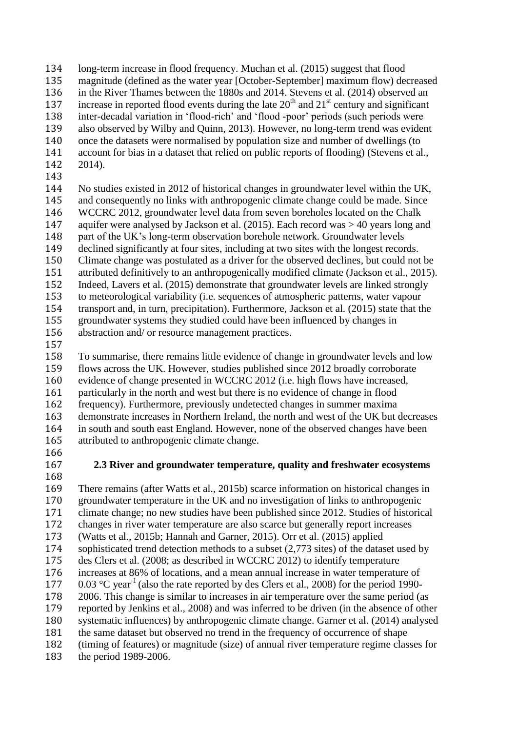- long-term increase in flood frequency. Muchan et al. (2015) suggest that flood 135 magnitude (defined as the water year [October-September] maximum flow) decreased<br>136 in the River Thames between the 1880s and 2014. Stevens et al. (2014) observed an in the River Thames between the 1880s and 2014. Stevens et al. (2014) observed an 137 increase in reported flood events during the late  $20<sup>th</sup>$  and  $21<sup>st</sup>$  century and significant 138 inter-decadal variation in 'flood-rich' and 'flood-poor' periods (such periods were<br>139 also observed by Wilby and Ouinn, 2013). However, no long-term trend was evider also observed by Wilby and Quinn, 2013). However, no long-term trend was evident once the datasets were normalised by population size and number of dwellings (to account for bias in a dataset that relied on public reports of flooding) (Stevens et al., 2014).
- 

 No studies existed in 2012 of historical changes in groundwater level within the UK, and consequently no links with anthropogenic climate change could be made. Since WCCRC 2012, groundwater level data from seven boreholes located on the Chalk aquifer were analysed by Jackson et al. (2015). Each record was > 40 years long and part of the UK's long-term observation borehole network. Groundwater levels declined significantly at four sites, including at two sites with the longest records. Climate change was postulated as a driver for the observed declines, but could not be attributed definitively to an anthropogenically modified climate (Jackson et al., 2015). Indeed, Lavers et al. (2015) demonstrate that groundwater levels are linked strongly to meteorological variability (i.e. sequences of atmospheric patterns, water vapour transport and, in turn, precipitation). Furthermore, Jackson et al. (2015) state that the groundwater systems they studied could have been influenced by changes in abstraction and/ or resource management practices.

 To summarise, there remains little evidence of change in groundwater levels and low flows across the UK. However, studies published since 2012 broadly corroborate evidence of change presented in WCCRC 2012 (i.e. high flows have increased, 161 particularly in the north and west but there is no evidence of change in flood<br>162 frequency). Furthermore, previously undetected changes in summer maxima frequency). Furthermore, previously undetected changes in summer maxima demonstrate increases in Northern Ireland, the north and west of the UK but decreases in south and south east England. However, none of the observed changes have been attributed to anthropogenic climate change.

- 
- 

### **2.3 River and groundwater temperature, quality and freshwater ecosystems**

 There remains (after Watts et al., 2015b) scarce information on historical changes in groundwater temperature in the UK and no investigation of links to anthropogenic climate change; no new studies have been published since 2012. Studies of historical changes in river water temperature are also scarce but generally report increases (Watts et al., 2015b; Hannah and Garner, 2015). Orr et al. (2015) applied sophisticated trend detection methods to a subset (2,773 sites) of the dataset used by des Clers et al. (2008; as described in WCCRC 2012) to identify temperature increases at 86% of locations, and a mean annual increase in water temperature of 177 0.03 °C year<sup>-1</sup> (also the rate reported by des Clers et al., 2008) for the period 1990- 2006. This change is similar to increases in air temperature over the same period (as reported by Jenkins et al., 2008) and was inferred to be driven (in the absence of other systematic influences) by anthropogenic climate change. Garner et al. (2014) analysed the same dataset but observed no trend in the frequency of occurrence of shape (timing of features) or magnitude (size) of annual river temperature regime classes for the period 1989-2006.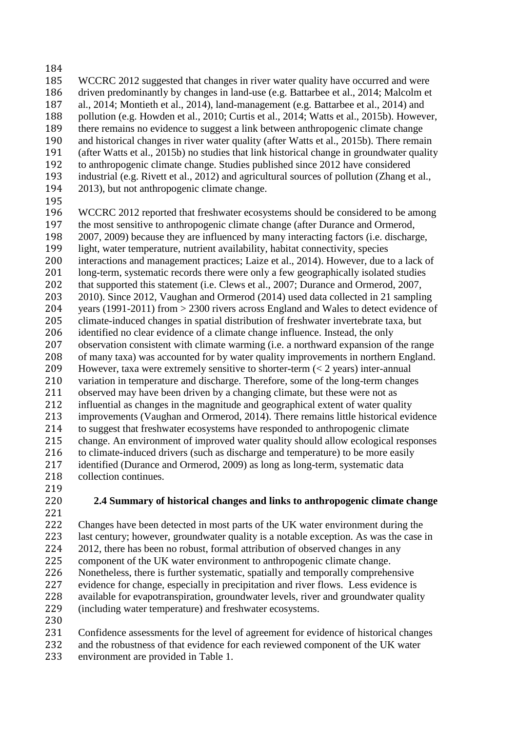- 
- 185 WCCRC 2012 suggested that changes in river water quality have occurred and were<br>186 driven predominantly by changes in land-use (e.g. Battarbee et al., 2014; Malcolm et driven predominantly by changes in land-use (e.g. Battarbee et al., 2014; Malcolm et al., 2014; Montieth et al., 2014), land-management (e.g. Battarbee et al., 2014) and 188 pollution (e.g. Howden et al., 2010; Curtis et al., 2014; Watts et al., 2015b). However, there remains no evidence to suggest a link between anthropogenic climate change there remains no evidence to suggest a link between anthropogenic climate change 190 and historical changes in river water quality (after Watts et al., 2015b). There remain<br>191 (after Watts et al., 2015b) no studies that link historical change in groundwater quality  $(after Watts et al., 2015b)$  no studies that link historical change in groundwater quality to anthropogenic climate change. Studies published since 2012 have considered industrial (e.g. Rivett et al., 2012) and agricultural sources of pollution (Zhang et al., 2013), but not anthropogenic climate change.
- 

196 WCCRC 2012 reported that freshwater ecosystems should be considered to be among the most sensitive to anthropogenic climate change (after Durance and Ormerod. 197 the most sensitive to anthropogenic climate change (after Durance and Ormerod, 198 2007, 2009) because they are influenced by many interacting factors (i.e. discharge 2007, 2009) because they are influenced by many interacting factors (i.e. discharge, light, water temperature, nutrient availability, habitat connectivity, species interactions and management practices; Laize et al., 2014). However, due to a lack of long-term, systematic records there were only a few geographically isolated studies that supported this statement (i.e. Clews et al., 2007; Durance and Ormerod, 2007, 2010). Since 2012, Vaughan and Ormerod (2014) used data collected in 21 sampling years (1991-2011) from > 2300 rivers across England and Wales to detect evidence of climate-induced changes in spatial distribution of freshwater invertebrate taxa, but identified no clear evidence of a climate change influence. Instead, the only observation consistent with climate warming (i.e. a northward expansion of the range of many taxa) was accounted for by water quality improvements in northern England. However, taxa were extremely sensitive to shorter-term (< 2 years) inter-annual variation in temperature and discharge. Therefore, some of the long-term changes 211 observed may have been driven by a changing climate, but these were not as influential as changes in the magnitude and geographical extent of water qual influential as changes in the magnitude and geographical extent of water quality improvements (Vaughan and Ormerod, 2014). There remains little historical evidence to suggest that freshwater ecosystems have responded to anthropogenic climate change. An environment of improved water quality should allow ecological responses to climate-induced drivers (such as discharge and temperature) to be more easily identified (Durance and Ormerod, 2009) as long as long-term, systematic data collection continues.

**2.4 Summary of historical changes and links to anthropogenic climate change**

 Changes have been detected in most parts of the UK water environment during the last century; however, groundwater quality is a notable exception. As was the case in 2012, there has been no robust, formal attribution of observed changes in any component of the UK water environment to anthropogenic climate change. Nonetheless, there is further systematic, spatially and temporally comprehensive evidence for change, especially in precipitation and river flows. Less evidence is available for evapotranspiration, groundwater levels, river and groundwater quality (including water temperature) and freshwater ecosystems. 

 Confidence assessments for the level of agreement for evidence of historical changes and the robustness of that evidence for each reviewed component of the UK water environment are provided in Table 1.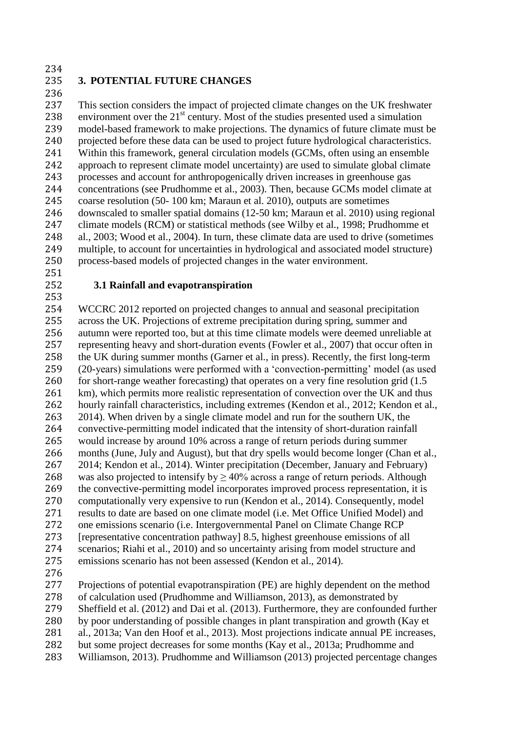234<br>235

### **3. POTENTIAL FUTURE CHANGES**

236<br>237

This section considers the impact of projected climate changes on the UK freshwater 238 environment over the  $21<sup>st</sup>$  century. Most of the studies presented used a simulation model-based framework to make projections. The dynamics of future climate must be 240 projected before these data can be used to project future hydrological characteristics.<br>241 Within this framework, general circulation models (GCMs, often using an ensemble Within this framework, general circulation models (GCMs, often using an ensemble approach to represent climate model uncertainty) are used to simulate global climate processes and account for anthropogenically driven increases in greenhouse gas concentrations (see Prudhomme et al., 2003). Then, because GCMs model climate at coarse resolution (50- 100 km; Maraun et al. 2010), outputs are sometimes downscaled to smaller spatial domains (12-50 km; Maraun et al. 2010) using regional climate models (RCM) or statistical methods (see Wilby et al., 1998; Prudhomme et al., 2003; Wood et al., 2004). In turn, these climate data are used to drive (sometimes multiple, to account for uncertainties in hydrological and associated model structure) process-based models of projected changes in the water environment.

### **3.1 Rainfall and evapotranspiration**

 WCCRC 2012 reported on projected changes to annual and seasonal precipitation across the UK. Projections of extreme precipitation during spring, summer and autumn were reported too, but at this time climate models were deemed unreliable at representing heavy and short-duration events (Fowler et al., 2007) that occur often in the UK during summer months (Garner et al., in press). Recently, the first long-term (20-years) simulations were performed with a 'convection-permitting' model (as used 260 for short-range weather forecasting) that operates on a very fine resolution grid (1.5 261 km), which permits more realistic representation of convection over the UK and thus 262 hourly rainfall characteristics, including extremes (Kendon et al., 2012; Kendon et al., 263 2014). When driven by a single climate model and run for the southern UK, the convective-permitting model indicated that the intensity of short-duration rainfall would increase by around 10% across a range of return periods during summer months (June, July and August), but that dry spells would become longer (Chan et al., 2014; Kendon et al., 2014). Winter precipitation (December, January and February) 268 was also projected to intensify by  $\geq 40\%$  across a range of return periods. Although the convective-permitting model incorporates improved process representation, it is computationally very expensive to run (Kendon et al., 2014). Consequently, model results to date are based on one climate model (i.e. Met Office Unified Model) and one emissions scenario (i.e. Intergovernmental Panel on Climate Change RCP [representative concentration pathway] 8.5, highest greenhouse emissions of all scenarios; Riahi et al., 2010) and so uncertainty arising from model structure and emissions scenario has not been assessed (Kendon et al., 2014).

 Projections of potential evapotranspiration (PE) are highly dependent on the method of calculation used (Prudhomme and Williamson, 2013), as demonstrated by Sheffield et al. (2012) and Dai et al. (2013). Furthermore, they are confounded further by poor understanding of possible changes in plant transpiration and growth (Kay et al., 2013a; Van den Hoof et al., 2013). Most projections indicate annual PE increases, but some project decreases for some months (Kay et al., 2013a; Prudhomme and

Williamson, 2013). Prudhomme and Williamson (2013) projected percentage changes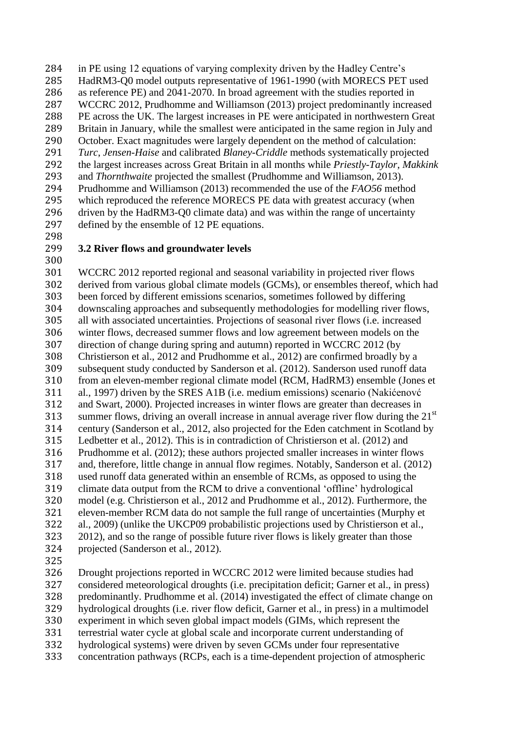in PE using 12 equations of varying complexity driven by the Hadley Centre's 285 HadRM3-Q0 model outputs representative of 1961-1990 (with MORECS PET used as reference PE) and 2041-2070. In broad agreement with the studies reported in as reference PE) and 2041-2070. In broad agreement with the studies reported in WCCRC 2012, Prudhomme and Williamson (2013) project predominantly increased 288 PE across the UK. The largest increases in PE were anticipated in northwestern Great 289 Britain in January, while the smallest were anticipated in the same region in July and Britain in January, while the smallest were anticipated in the same region in July and 290 October. Exact magnitudes were largely dependent on the method of calculation:<br>291 *Turc, Jensen-Haise* and calibrated *Blaney-Criddle* methods systematically project *Turc*, *Jensen-Haise* and calibrated *Blaney-Criddle* methods systematically projected the largest increases across Great Britain in all months while *Priestly-Taylor*, *Makkink* and *Thornthwaite* projected the smallest (Prudhomme and Williamson, 2013). Prudhomme and Williamson (2013) recommended the use of the *FAO56* method which reproduced the reference MORECS PE data with greatest accuracy (when 296 driven by the HadRM3-Q0 climate data) and was within the range of uncertainty<br>297 defined by the ensemble of 12 PE equations. defined by the ensemble of 12 PE equations.

298<br>299

### 3.2 River flows and groundwater levels

 WCCRC 2012 reported regional and seasonal variability in projected river flows derived from various global climate models (GCMs), or ensembles thereof, which had been forced by different emissions scenarios, sometimes followed by differing downscaling approaches and subsequently methodologies for modelling river flows, all with associated uncertainties. Projections of seasonal river flows (i.e. increased winter flows, decreased summer flows and low agreement between models on the direction of change during spring and autumn) reported in WCCRC 2012 (by Christierson et al., 2012 and Prudhomme et al., 2012) are confirmed broadly by a subsequent study conducted by Sanderson et al. (2012). Sanderson used runoff data from an eleven-member regional climate model (RCM, HadRM3) ensemble (Jones et 311 al., 1997) driven by the SRES A1B (i.e. medium emissions) scenario (Nakićenovć and Swart, 2000). Projected increases in winter flows are greater than decreases in and Swart, 2000). Projected increases in winter flows are greater than decreases in 313 summer flows, driving an overall increase in annual average river flow during the  $21<sup>st</sup>$  century (Sanderson et al., 2012, also projected for the Eden catchment in Scotland by Ledbetter et al., 2012). This is in contradiction of Christierson et al. (2012) and Prudhomme et al. (2012); these authors projected smaller increases in winter flows and, therefore, little change in annual flow regimes. Notably, Sanderson et al. (2012) used runoff data generated within an ensemble of RCMs, as opposed to using the climate data output from the RCM to drive a conventional 'offline' hydrological model (e.g. Christierson et al., 2012 and Prudhomme et al., 2012). Furthermore, the eleven-member RCM data do not sample the full range of uncertainties (Murphy et al., 2009) (unlike the UKCP09 probabilistic projections used by Christierson et al., 2012), and so the range of possible future river flows is likely greater than those projected (Sanderson et al., 2012).

 Drought projections reported in WCCRC 2012 were limited because studies had considered meteorological droughts (i.e. precipitation deficit; Garner et al., in press) predominantly. Prudhomme et al. (2014) investigated the effect of climate change on hydrological droughts (i.e. river flow deficit, Garner et al., in press) in a multimodel experiment in which seven global impact models (GIMs, which represent the terrestrial water cycle at global scale and incorporate current understanding of hydrological systems) were driven by seven GCMs under four representative concentration pathways (RCPs, each is a time-dependent projection of atmospheric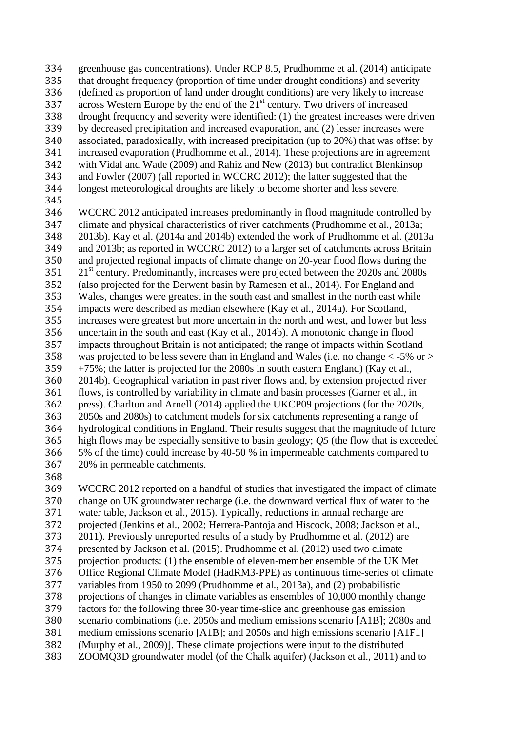- greenhouse gas concentrations). Under RCP 8.5, Prudhomme et al. (2014) anticipate 335 that drought frequency (proportion of time under drought conditions) and severity<br>336 (defined as proportion of land under drought conditions) are very likely to increase (defined as proportion of land under drought conditions) are very likely to increase 337 across Western Europe by the end of the  $21<sup>st</sup>$  century. Two drivers of increased 338 drought frequency and severity were identified: (1) the greatest increases were driven<br>339 by decreased precipitation and increased evaporation, and (2) lesser increases were by decreased precipitation and increased evaporation, and (2) lesser increases were associated, paradoxically, with increased precipitation (up to 20%) that was offset by increased evaporation (Prudhomme et al., 2014). These projections are in agreement with Vidal and Wade (2009) and Rahiz and New (2013) but contradict Blenkinsop and Fowler (2007) (all reported in WCCRC 2012); the latter suggested that the longest meteorological droughts are likely to become shorter and less severe.
- 
- 
- WCCRC 2012 anticipated increases predominantly in flood magnitude controlled by climate and physical characteristics of river catchments (Prudhomme et al., 2013a; 2013b). Kay et al. (2014a and 2014b) extended the work of Prudhomme et al. (2013a and 2013b; as reported in WCCRC 2012) to a larger set of catchments across Britain and projected regional impacts of climate change on 20-year flood flows during the  $21<sup>st</sup>$  century. Predominantly, increases were projected between the 2020s and 2080s (also projected for the Derwent basin by Ramesen et al., 2014). For England and Wales, changes were greatest in the south east and smallest in the north east while impacts were described as median elsewhere (Kay et al., 2014a). For Scotland, increases were greatest but more uncertain in the north and west, and lower but less uncertain in the south and east (Kay et al., 2014b). A monotonic change in flood impacts throughout Britain is not anticipated; the range of impacts within Scotland was projected to be less severe than in England and Wales (i.e. no change < -5% or > +75%; the latter is projected for the 2080s in south eastern England) (Kay et al., 2014b). Geographical variation in past river flows and, by extension projected river 361 flows, is controlled by variability in climate and basin processes (Garner et al., in press). Charlton and Arnell (2014) applied the UKCP09 projections (for the 2020s) press). Charlton and Arnell (2014) applied the UKCP09 projections (for the 2020s, 2050s and 2080s) to catchment models for six catchments representing a range of hydrological conditions in England. Their results suggest that the magnitude of future high flows may be especially sensitive to basin geology; *Q5* (the flow that is exceeded 5% of the time) could increase by 40-50 % in impermeable catchments compared to 20% in permeable catchments.
- 

 WCCRC 2012 reported on a handful of studies that investigated the impact of climate change on UK groundwater recharge (i.e. the downward vertical flux of water to the water table, Jackson et al., 2015). Typically, reductions in annual recharge are projected (Jenkins et al., 2002; Herrera-Pantoja and Hiscock, 2008; Jackson et al., 2011). Previously unreported results of a study by Prudhomme et al. (2012) are presented by Jackson et al. (2015). Prudhomme et al. (2012) used two climate projection products: (1) the ensemble of eleven-member ensemble of the UK Met Office Regional Climate Model (HadRM3-PPE) as continuous time-series of climate variables from 1950 to 2099 (Prudhomme et al., 2013a), and (2) probabilistic projections of changes in climate variables as ensembles of 10,000 monthly change factors for the following three 30-year time-slice and greenhouse gas emission scenario combinations (i.e. 2050s and medium emissions scenario [A1B]; 2080s and medium emissions scenario [A1B]; and 2050s and high emissions scenario [A1F1] (Murphy et al., 2009)]. These climate projections were input to the distributed ZOOMQ3D groundwater model (of the Chalk aquifer) (Jackson et al., 2011) and to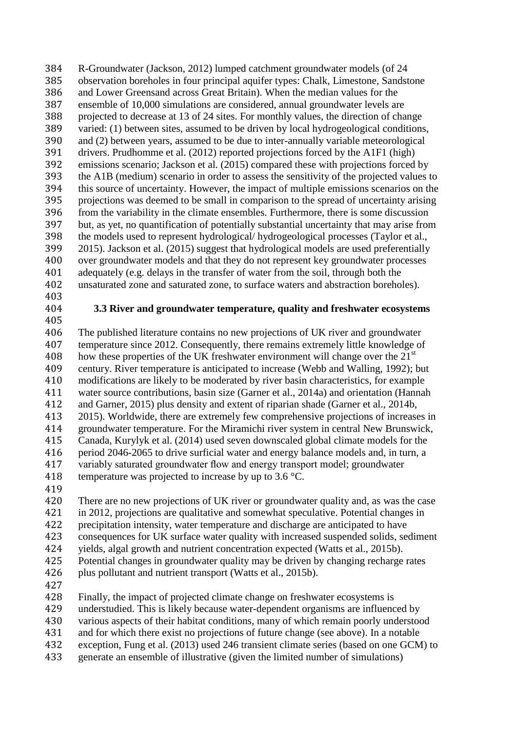R-Groundwater (Jackson, 2012) lumped catchment groundwater models (of 24 385 observation boreholes in four principal aquifer types: Chalk, Limestone, Sandstone<br>386 and Lower Greensand across Great Britain). When the median values for the and Lower Greensand across Great Britain). When the median values for the ensemble of 10,000 simulations are considered, annual groundwater levels are 388 projected to decrease at 13 of 24 sites. For monthly values, the direction of change<br>389 varied: (1) between sites, assumed to be driven by local hydrogeological conditions varied: (1) between sites, assumed to be driven by local hydrogeological conditions, 390 and (2) between years, assumed to be due to inter-annually variable meteorological<br>391 drivers. Prudhomme et al. (2012) reported projections forced by the A1F1 (high) drivers. Prudhomme et al. (2012) reported projections forced by the A1F1 (high) emissions scenario; Jackson et al. (2015) compared these with projections forced by 393 the A1B (medium) scenario in order to assess the sensitivity of the projected values to<br>394 this source of uncertainty. However, the impact of multiple emissions scenarios on the this source of uncertainty. However, the impact of multiple emissions scenarios on the projections was deemed to be small in comparison to the spread of uncertainty arising 396 from the variability in the climate ensembles. Furthermore, there is some discussion<br>397 but, as yet, no quantification of potentially substantial uncertainty that may arise from but, as yet, no quantification of potentially substantial uncertainty that may arise from 398 the models used to represent hydrological/ hydrogeological processes (Taylor et al., 399 2015). Jackson et al. (2015) suggest that hydrological models are used preferentially 2015). Jackson et al. (2015) suggest that hydrological models are used preferentially over groundwater models and that they do not represent key groundwater processes adequately (e.g. delays in the transfer of water from the soil, through both the unsaturated zone and saturated zone, to surface waters and abstraction boreholes).

#### **3.3 River and groundwater temperature, quality and freshwater ecosystems**

 The published literature contains no new projections of UK river and groundwater temperature since 2012. Consequently, there remains extremely little knowledge of 408 how these properties of the UK freshwater environment will change over the  $21<sup>st</sup>$  century. River temperature is anticipated to increase (Webb and Walling, 1992); but modifications are likely to be moderated by river basin characteristics, for example 411 water source contributions, basin size (Garner et al., 2014a) and orientation (Hannah 412 and Garner, 2015) plus density and extent of riparian shade (Garner et al., 2014b, and Garner, 2015) plus density and extent of riparian shade (Garner et al., 2014b, 2015). Worldwide, there are extremely few comprehensive projections of increases in groundwater temperature. For the Miramichi river system in central New Brunswick, Canada, Kurylyk et al. (2014) used seven downscaled global climate models for the period 2046-2065 to drive surficial water and energy balance models and, in turn, a variably saturated groundwater flow and energy transport model; groundwater 418 temperature was projected to increase by up to 3.6 °C.

420 There are no new projections of UK river or groundwater quality and, as was the case in 2012, projections are qualitative and somewhat speculative. Potential changes in precipitation intensity, water temperature and discharge are anticipated to have consequences for UK surface water quality with increased suspended solids, sediment yields, algal growth and nutrient concentration expected (Watts et al., 2015b). Potential changes in groundwater quality may be driven by changing recharge rates 426 plus pollutant and nutrient transport (Watts et al., 2015b).

Finally, the impact of projected climate change on freshwater ecosystems is

understudied. This is likely because water-dependent organisms are influenced by

various aspects of their habitat conditions, many of which remain poorly understood

and for which there exist no projections of future change (see above). In a notable

- exception, Fung et al. (2013) used 246 transient climate series (based on one GCM) to
- generate an ensemble of illustrative (given the limited number of simulations)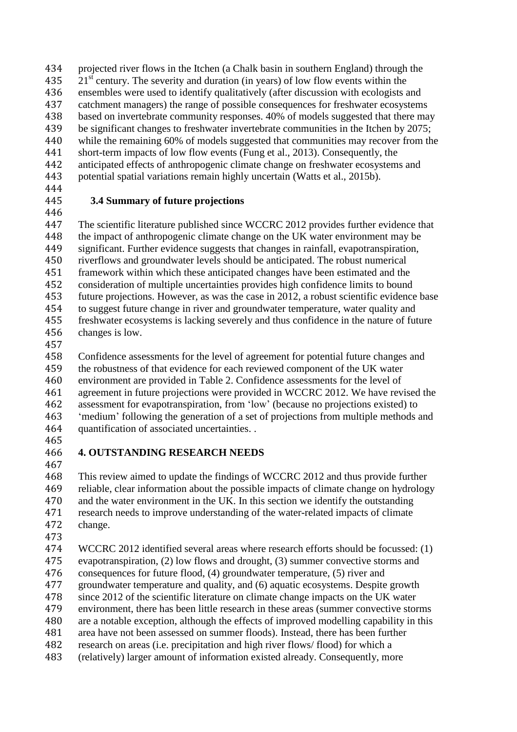- projected river flows in the Itchen (a Chalk basin in southern England) through the 21<sup>st</sup> century. The severity and duration (in years) of low flow events within the 436 ensembles were used to identify qualitatively (after discussion with ecologists a ensembles were used to identify qualitatively (after discussion with ecologists and catchment managers) the range of possible consequences for freshwater ecosystems 438 based on invertebrate community responses. 40% of models suggested that there may<br>439 be significant changes to freshwater invertebrate communities in the Itchen by 2075; be significant changes to freshwater invertebrate communities in the Itchen by 2075; 440 while the remaining 60% of models suggested that communities may recover from the short-term impacts of low flow events (Fung et al., 2013). Consequently, the short-term impacts of low flow events (Fung et al., 2013). Consequently, the anticipated effects of anthropogenic climate change on freshwater ecosystems and potential spatial variations remain highly uncertain (Watts et al., 2015b).
- 

# **3.4 Summary of future projections**

446<br>447 The scientific literature published since WCCRC 2012 provides further evidence that the impact of anthropogenic climate change on the UK water environment may be significant. Further evidence suggests that changes in rainfall, evapotranspiration, riverflows and groundwater levels should be anticipated. The robust numerical framework within which these anticipated changes have been estimated and the consideration of multiple uncertainties provides high confidence limits to bound future projections. However, as was the case in 2012, a robust scientific evidence base to suggest future change in river and groundwater temperature, water quality and freshwater ecosystems is lacking severely and thus confidence in the nature of future changes is low.

 Confidence assessments for the level of agreement for potential future changes and the robustness of that evidence for each reviewed component of the UK water environment are provided in Table 2. Confidence assessments for the level of 461 agreement in future projections were provided in WCCRC 2012. We have revised the 462 assessment for evapotranspiration, from 'low' (because no projections existed) to assessment for evapotranspiration, from 'low' (because no projections existed) to 'medium' following the generation of a set of projections from multiple methods and quantification of associated uncertainties. .

# **4. OUTSTANDING RESEARCH NEEDS**

 This review aimed to update the findings of WCCRC 2012 and thus provide further reliable, clear information about the possible impacts of climate change on hydrology and the water environment in the UK. In this section we identify the outstanding research needs to improve understanding of the water-related impacts of climate change.

 WCCRC 2012 identified several areas where research efforts should be focussed: (1) evapotranspiration, (2) low flows and drought, (3) summer convective storms and consequences for future flood, (4) groundwater temperature, (5) river and groundwater temperature and quality, and (6) aquatic ecosystems. Despite growth since 2012 of the scientific literature on climate change impacts on the UK water environment, there has been little research in these areas (summer convective storms are a notable exception, although the effects of improved modelling capability in this area have not been assessed on summer floods). Instead, there has been further research on areas (i.e. precipitation and high river flows/ flood) for which a (relatively) larger amount of information existed already. Consequently, more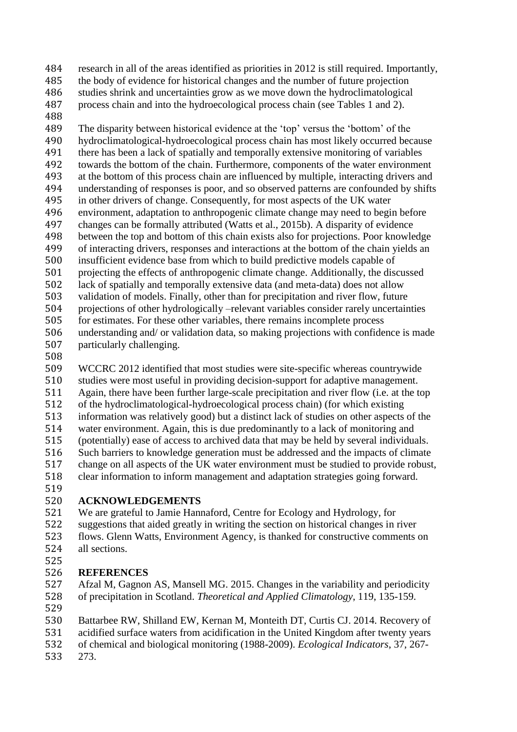- research in all of the areas identified as priorities in 2012 is still required. Importantly, 485 the body of evidence for historical changes and the number of future projection<br>486 studies shrink and uncertainties grow as we move down the hydroclimatological studies shrink and uncertainties grow as we move down the hydroclimatological process chain and into the hydroecological process chain (see Tables 1 and 2).
- 

 The disparity between historical evidence at the 'top' versus the 'bottom' of the 490 hydroclimatological-hydroecological process chain has most likely occurred because<br>491 there has been a lack of spatially and temporally extensive monitoring of variables there has been a lack of spatially and temporally extensive monitoring of variables towards the bottom of the chain. Furthermore, components of the water environment at the bottom of this process chain are influenced by multiple, interacting drivers and understanding of responses is poor, and so observed patterns are confounded by shifts in other drivers of change. Consequently, for most aspects of the UK water 496 environment, adaptation to anthropogenic climate change may need to begin before<br>497 changes can be formally attributed (Watts et al., 2015b). A disparity of evidence changes can be formally attributed (Watts et al., 2015b). A disparity of evidence between the top and bottom of this chain exists also for projections. Poor knowledge of interacting drivers, responses and interactions at the bottom of the chain yields an insufficient evidence base from which to build predictive models capable of projecting the effects of anthropogenic climate change. Additionally, the discussed lack of spatially and temporally extensive data (and meta-data) does not allow validation of models. Finally, other than for precipitation and river flow, future projections of other hydrologically –relevant variables consider rarely uncertainties for estimates. For these other variables, there remains incomplete process understanding and/ or validation data, so making projections with confidence is made particularly challenging.

 WCCRC 2012 identified that most studies were site-specific whereas countrywide studies were most useful in providing decision-support for adaptive management. 511 Again, there have been further large-scale precipitation and river flow (i.e. at the top of the hydroclimatological-hydroecological process chain) (for which existing of the hydroclimatological-hydroecological process chain) (for which existing information was relatively good) but a distinct lack of studies on other aspects of the water environment. Again, this is due predominantly to a lack of monitoring and (potentially) ease of access to archived data that may be held by several individuals. Such barriers to knowledge generation must be addressed and the impacts of climate change on all aspects of the UK water environment must be studied to provide robust, clear information to inform management and adaptation strategies going forward.

# **ACKNOWLEDGEMENTS**

 We are grateful to Jamie Hannaford, Centre for Ecology and Hydrology, for suggestions that aided greatly in writing the section on historical changes in river flows. Glenn Watts, Environment Agency, is thanked for constructive comments on all sections. 

# **REFERENCES**

 Afzal M, Gagnon AS, Mansell MG. 2015. Changes in the variability and periodicity of precipitation in Scotland. *Theoretical and Applied Climatology*, 119, 135-159.

 Battarbee RW, Shilland EW, Kernan M, Monteith DT, Curtis CJ. 2014. Recovery of acidified surface waters from acidification in the United Kingdom after twenty years

of chemical and biological monitoring (1988-2009). *Ecological Indicators*, 37, 267-

273.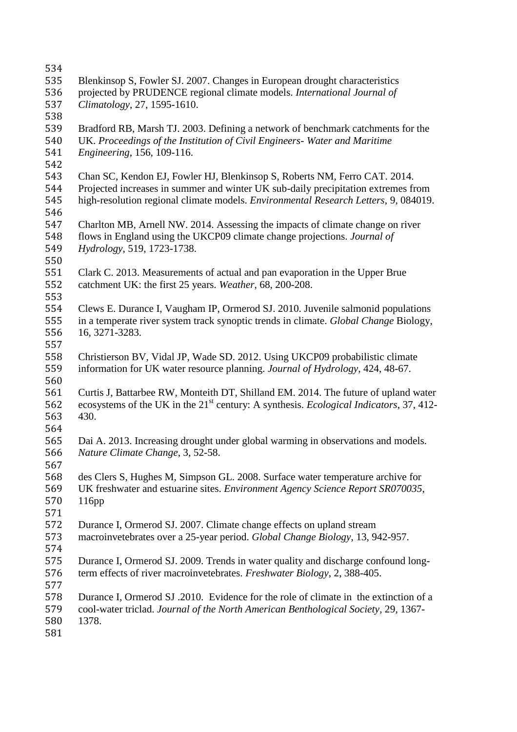| 534 |                                                                                                            |
|-----|------------------------------------------------------------------------------------------------------------|
| 535 | Blenkinsop S, Fowler SJ. 2007. Changes in European drought characteristics                                 |
| 536 | projected by PRUDENCE regional climate models. International Journal of                                    |
| 537 | Climatology, 27, 1595-1610.                                                                                |
| 538 |                                                                                                            |
| 539 | Bradford RB, Marsh TJ. 2003. Defining a network of benchmark catchments for the                            |
| 540 | UK. Proceedings of the Institution of Civil Engineers- Water and Maritime                                  |
| 541 | Engineering, 156, 109-116.                                                                                 |
| 542 |                                                                                                            |
| 543 | Chan SC, Kendon EJ, Fowler HJ, Blenkinsop S, Roberts NM, Ferro CAT. 2014.                                  |
| 544 | Projected increases in summer and winter UK sub-daily precipitation extremes from                          |
| 545 | high-resolution regional climate models. Environmental Research Letters, 9, 084019.                        |
| 546 |                                                                                                            |
| 547 | Charlton MB, Arnell NW. 2014. Assessing the impacts of climate change on river                             |
| 548 | flows in England using the UKCP09 climate change projections. Journal of                                   |
| 549 | Hydrology, 519, 1723-1738.                                                                                 |
| 550 |                                                                                                            |
| 551 | Clark C. 2013. Measurements of actual and pan evaporation in the Upper Brue                                |
| 552 | catchment UK: the first 25 years. Weather, 68, 200-208.                                                    |
| 553 |                                                                                                            |
| 554 | Clews E. Durance I, Vaugham IP, Ormerod SJ. 2010. Juvenile salmonid populations                            |
| 555 | in a temperate river system track synoptic trends in climate. Global Change Biology,                       |
| 556 | 16, 3271-3283.                                                                                             |
| 557 |                                                                                                            |
| 558 | Christierson BV, Vidal JP, Wade SD. 2012. Using UKCP09 probabilistic climate                               |
| 559 | information for UK water resource planning. Journal of Hydrology, 424, 48-67.                              |
| 560 |                                                                                                            |
| 561 | Curtis J, Battarbee RW, Monteith DT, Shilland EM. 2014. The future of upland water                         |
| 562 | ecosystems of the UK in the 21 <sup>st</sup> century: A synthesis. <i>Ecological Indicators</i> , 37, 412- |
| 563 | 430.                                                                                                       |
| 564 |                                                                                                            |
| 565 | Dai A. 2013. Increasing drought under global warming in observations and models.                           |
| 566 | Nature Climate Change, 3, 52-58.                                                                           |
| 567 |                                                                                                            |
| 568 | des Clers S, Hughes M, Simpson GL. 2008. Surface water temperature archive for                             |
| 569 | UK freshwater and estuarine sites. Environment Agency Science Report SR070035,                             |
| 570 | 116pp                                                                                                      |
| 571 |                                                                                                            |
| 572 | Durance I, Ormerod SJ. 2007. Climate change effects on upland stream                                       |
| 573 | macroinvetebrates over a 25-year period. Global Change Biology, 13, 942-957.                               |
| 574 |                                                                                                            |
| 575 | Durance I, Ormerod SJ. 2009. Trends in water quality and discharge confound long-                          |
| 576 | term effects of river macroinvetebrates. Freshwater Biology, 2, 388-405.                                   |
| 577 |                                                                                                            |
| 578 | Durance I, Ormerod SJ .2010. Evidence for the role of climate in the extinction of a                       |
| 579 | cool-water triclad. Journal of the North American Benthological Society, 29, 1367-                         |
| 580 | 1378.                                                                                                      |
| 581 |                                                                                                            |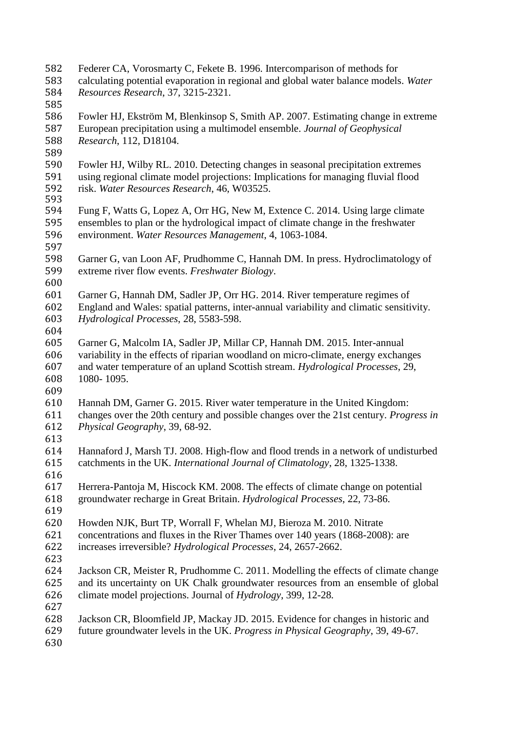- Federer CA, Vorosmarty C, Fekete B. 1996. Intercomparison of methods for
- calculating potential evaporation in regional and global water balance models. *Water Resources Research*, 37, 3215-2321.
- 

586 Fowler HJ, Ekström M, Blenkinsop S, Smith AP. 2007. Estimating change in extreme<br>587 European precipitation using a multimodel ensemble. Journal of Geophysical European precipitation using a multimodel ensemble. *Journal of Geophysical Research*, 112, D18104.

- 
- 589<br>590 Fowler HJ, Wilby RL. 2010. Detecting changes in seasonal precipitation extremes using regional climate model projections: Implications for managing fluvial flood risk. *Water Resources Research*, 46, W03525.
- 
- Fung F, Watts G, Lopez A, Orr HG, New M, Extence C. 2014. Using large climate ensembles to plan or the hydrological impact of climate change in the freshwater environment. *Water Resources Management*, 4, 1063-1084.
- 
- Garner G, van Loon AF, Prudhomme C, Hannah DM. In press. Hydroclimatology of extreme river flow events. *Freshwater Biology*.
- 
- Garner G, Hannah DM, Sadler JP, Orr HG. 2014. River temperature regimes of England and Wales: spatial patterns, inter-annual variability and climatic sensitivity. *Hydrological Processes*, 28, 5583-598.
- 
- Garner G, Malcolm IA, Sadler JP, Millar CP, Hannah DM. 2015. Inter-annual variability in the effects of riparian woodland on micro-climate, energy exchanges and water temperature of an upland Scottish stream. *Hydrological Processes*, 29, 1080- 1095.
- 
- Hannah DM, Garner G. 2015. River water temperature in the United Kingdom: changes over the 20th century and possible changes over the 21st century. *Progress in Physical Geography*, 39, 68-92.
- Hannaford J, Marsh TJ. 2008. High-flow and flood trends in a network of undisturbed catchments in the UK. *International Journal of Climatology*, 28, 1325-1338.
- 
- Herrera-Pantoja M, Hiscock KM. 2008. The effects of climate change on potential groundwater recharge in Great Britain. *Hydrological Processes*, 22, 73-86.
- 
- Howden NJK, Burt TP, Worrall F, Whelan MJ, Bieroza M. 2010. Nitrate concentrations and fluxes in the River Thames over 140 years (1868-2008): are increases irreversible? *Hydrological Processes*, 24, 2657-2662.
- Jackson CR, Meister R, Prudhomme C. 2011. Modelling the effects of climate change and its uncertainty on UK Chalk groundwater resources from an ensemble of global climate model projections. Journal of *Hydrology*, 399, 12-28*.*
- Jackson CR, Bloomfield JP, Mackay JD. 2015. Evidence for changes in historic and
- future groundwater levels in the UK. *Progress in Physical Geography*, 39, 49-67.
-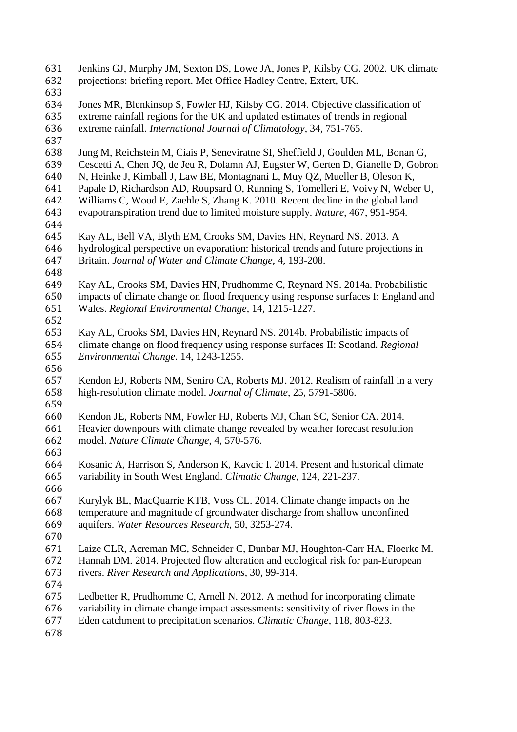Jenkins GJ, Murphy JM, Sexton DS, Lowe JA, Jones P, Kilsby CG. 2002. UK climate projections: briefing report. Met Office Hadley Centre, Extert, UK. Jones MR, Blenkinsop S, Fowler HJ, Kilsby CG. 2014. Objective classification of extreme rainfall regions for the UK and updated estimates of trends in regional extreme rainfall. *International Journal of Climatology*, 34, 751-765. Jung M, Reichstein M, Ciais P, Seneviratne SI, Sheffield J, Goulden ML, Bonan G, Cescetti A, Chen JQ, de Jeu R, Dolamn AJ, Eugster W, Gerten D, Gianelle D, Gobron N, Heinke J, Kimball J, Law BE, Montagnani L, Muy QZ, Mueller B, Oleson K, Papale D, Richardson AD, Roupsard O, Running S, Tomelleri E, Voivy N, Weber U, Williams C, Wood E, Zaehle S, Zhang K. 2010. Recent decline in the global land evapotranspiration trend due to limited moisture supply. *Nature*, 467, 951-954. Kay AL, Bell VA, Blyth EM, Crooks SM, Davies HN, Reynard NS. 2013. A hydrological perspective on evaporation: historical trends and future projections in Britain. *Journal of Water and Climate Change*, 4, 193-208. Kay AL, Crooks SM, Davies HN, Prudhomme C, Reynard NS. 2014a. Probabilistic impacts of climate change on flood frequency using response surfaces I: England and Wales. *Regional Environmental Change*, 14, 1215-1227. Kay AL, Crooks SM, Davies HN, Reynard NS. 2014b. Probabilistic impacts of climate change on flood frequency using response surfaces II: Scotland*. Regional Environmental Change*. 14, 1243-1255. Kendon EJ, Roberts NM, Seniro CA, Roberts MJ. 2012. Realism of rainfall in a very high-resolution climate model. *Journal of Climate*, 25, 5791-5806. Kendon JE, Roberts NM, Fowler HJ, Roberts MJ, Chan SC, Senior CA. 2014. Heavier downpours with climate change revealed by weather forecast resolution model. *Nature Climate Change*, 4, 570-576. Kosanic A, Harrison S, Anderson K, Kavcic I. 2014. Present and historical climate variability in South West England. *Climatic Change*, 124, 221-237. 666<br>667 Kurylyk BL, MacQuarrie KTB, Voss CL. 2014. Climate change impacts on the temperature and magnitude of groundwater discharge from shallow unconfined aquifers. *Water Resources Research*, 50, 3253-274. Laize CLR, Acreman MC, Schneider C, Dunbar MJ, Houghton-Carr HA, Floerke M. Hannah DM. 2014. Projected flow alteration and ecological risk for pan-European rivers. *River Research and Applications*, 30, 99-314. Ledbetter R, Prudhomme C, Arnell N. 2012. A method for incorporating climate variability in climate change impact assessments: sensitivity of river flows in the Eden catchment to precipitation scenarios. *Climatic Change*, 118, 803-823.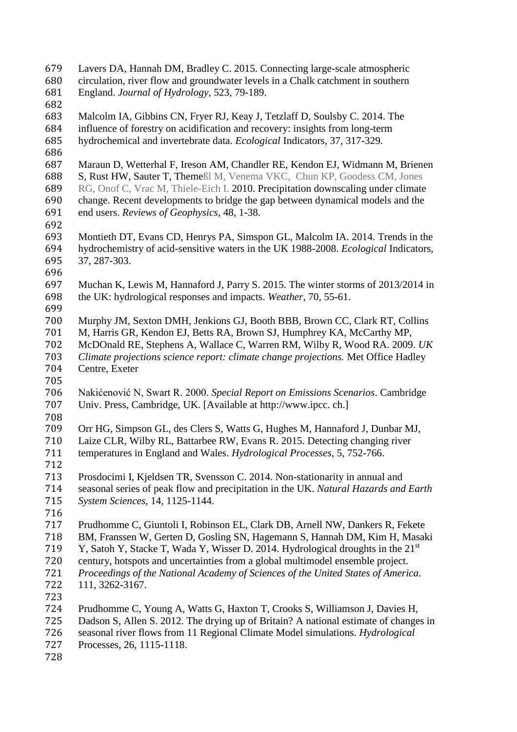Lavers DA, Hannah DM, Bradley C. 2015. Connecting large-scale atmospheric circulation, river flow and groundwater levels in a Chalk catchment in southern England. *Journal of Hydrology*, 523, 79-189. 683 Malcolm IA, Gibbins CN, Fryer RJ, Keay J, Tetzlaff D, Soulsby C. 2014. The influence of forestry on acidification and recovery: insights from long-term influence of forestry on acidification and recovery: insights from long-term hydrochemical and invertebrate data. *Ecological* Indicators, 37, 317-329. Maraun D, Wetterhal F, Ireson AM, Chandler RE, Kendon EJ, Widmann M, Brienen S, Rust HW, Sauter T, Themeßl M, Venema VKC, Chun KP, Goodess CM, Jones RG, Onof C, Vrac M, Thiele-Eich I. 2010. Precipitation downscaling under climate change. Recent developments to bridge the gap between dynamical models and the end users. *Reviews of Geophysics*, 48, 1-38. Montieth DT, Evans CD, Henrys PA, Simspon GL, Malcolm IA. 2014. Trends in the hydrochemistry of acid-sensitive waters in the UK 1988-2008. *Ecological* Indicators, 37, 287-303. Muchan K, Lewis M, Hannaford J, Parry S. 2015. The winter storms of 2013/2014 in the UK: hydrological responses and impacts. *Weather*, 70, 55-61. Murphy JM, Sexton DMH, Jenkions GJ, Booth BBB, Brown CC, Clark RT, Collins M, Harris GR, Kendon EJ, Betts RA, Brown SJ, Humphrey KA, McCarthy MP, McDOnald RE, Stephens A, Wallace C, Warren RM, Wilby R, Wood RA. 2009. *UK Climate projections science report: climate change projections.* Met Office Hadley Centre, Exeter Nakićenović N, Swart R. 2000. *Special Report on Emissions Scenarios*. Cambridge Univ. Press, Cambridge, UK. [Available at http://www.ipcc. ch.] Orr HG, Simpson GL, des Clers S, Watts G, Hughes M, Hannaford J, Dunbar MJ, Laize CLR, Wilby RL, Battarbee RW, Evans R. 2015. Detecting changing river temperatures in England and Wales. *Hydrological Processes*, 5, 752-766. Prosdocimi I, Kjeldsen TR, Svensson C. 2014. Non-stationarity in annual and seasonal series of peak flow and precipitation in the UK. *Natural Hazards and Earth System Sciences*, 14, 1125-1144. Prudhomme C, Giuntoli I, Robinson EL, Clark DB, Arnell NW, Dankers R, Fekete BM, Franssen W, Gerten D, Gosling SN, Hagemann S, Hannah DM, Kim H, Masaki 719 Y. Satoh Y. Stacke T. Wada Y. Wisser D. 2014. Hydrological droughts in the  $21<sup>st</sup>$  century, hotspots and uncertainties from a global multimodel ensemble project. *Proceedings of the National Academy of Sciences of the United States of America*. 111, 3262-3167. Prudhomme C, Young A, Watts G, Haxton T, Crooks S, Williamson J, Davies H, Dadson S, Allen S. 2012. The drying up of Britain? A national estimate of changes in seasonal river flows from 11 Regional Climate Model simulations. *Hydrological*  Processes, 26, 1115-1118.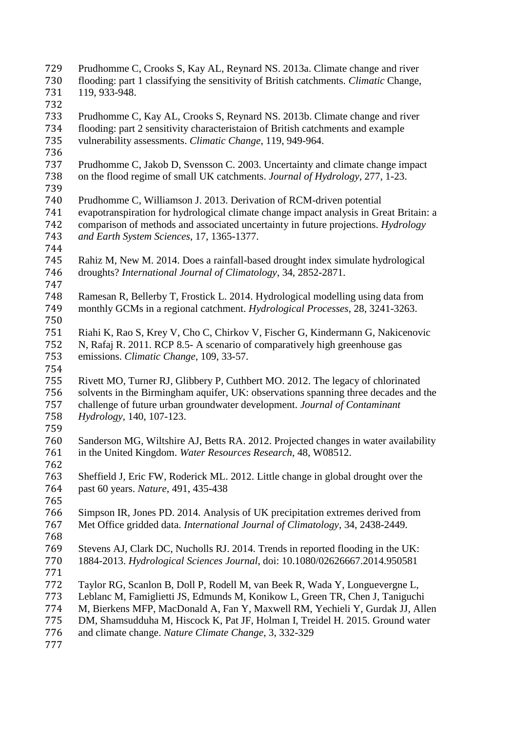- Prudhomme C, Crooks S, Kay AL, Reynard NS. 2013a. Climate change and river flooding: part 1 classifying the sensitivity of British catchments. *Climatic* Change, 119, 933-948.
- Prudhomme C, Kay AL, Crooks S, Reynard NS. 2013b. Climate change and river 734 flooding: part 2 sensitivity characteristaion of British catchments and example<br>735 vulnerability assessments. Climatic Change, 119, 949-964. vulnerability assessments. *Climatic Change*, 119, 949-964.
- 
- Prudhomme C, Jakob D, Svensson C. 2003. Uncertainty and climate change impact on the flood regime of small UK catchments. *Journal of Hydrology*, 277, 1-23.
- 
- Prudhomme C, Williamson J. 2013. Derivation of RCM-driven potential evapotranspiration for hydrological climate change impact analysis in Great Britain: a comparison of methods and associated uncertainty in future projections. *Hydrology and Earth System Sciences*, 17, 1365-1377.
- 
- Rahiz M, New M. 2014. Does a rainfall-based drought index simulate hydrological droughts? *International Journal of Climatology*, 34, 2852-2871.
- Ramesan R, Bellerby T, Frostick L. 2014. Hydrological modelling using data from monthly GCMs in a regional catchment. *Hydrological Processes*, 28, 3241-3263.
- Riahi K, Rao S, Krey V, Cho C, Chirkov V, Fischer G, Kindermann G, Nakicenovic N, Rafaj R. 2011. RCP 8.5- A scenario of comparatively high greenhouse gas emissions. *Climatic Change*, 109, 33-57.
- 
- Rivett MO, Turner RJ, Glibbery P, Cuthbert MO. 2012. The legacy of chlorinated 756 solvents in the Birmingham aquifer, UK: observations spanning three decades and the challenge of future urban groundwater development. Journal of Contaminant challenge of future urban groundwater development. *Journal of Contaminant Hydrology*, 140, 107-123.
- 
- 760 Sanderson MG, Wiltshire AJ, Betts RA. 2012. Projected changes in water availability<br>761 in the United Kingdom. Water Resources Research. 48, W08512. in the United Kingdom. *Water Resources Research*, 48, W08512.
- Sheffield J, Eric FW, Roderick ML. 2012. Little change in global drought over the past 60 years. *Nature*, 491, 435-438
- Simpson IR, Jones PD. 2014. Analysis of UK precipitation extremes derived from Met Office gridded data. *International Journal of Climatology*, 34, 2438-2449.
- 
- Stevens AJ, Clark DC, Nucholls RJ. 2014. Trends in reported flooding in the UK: 1884-2013. *Hydrological Sciences Journal*, doi: 10.1080/02626667.2014.950581
- 
- Taylor RG, Scanlon B, Doll P, Rodell M, van Beek R, Wada Y, Longuevergne L,
- Leblanc M, Famiglietti JS, Edmunds M, Konikow L, Green TR, Chen J, Taniguchi
- M, Bierkens MFP, MacDonald A, Fan Y, Maxwell RM, Yechieli Y, Gurdak JJ, Allen
- DM, Shamsudduha M, Hiscock K, Pat JF, Holman I, Treidel H. 2015. Ground water
- and climate change. *Nature Climate Change*, 3, 332-329
-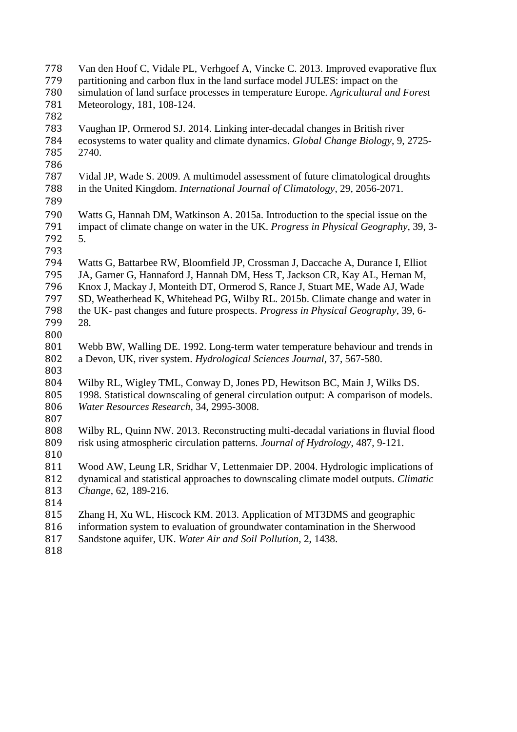- Van den Hoof C, Vidale PL, Verhgoef A, Vincke C. 2013. Improved evaporative flux 779 partitioning and carbon flux in the land surface model JULES: impact on the<br>780 simulation of land surface processes in temperature Europe. Agricultural and simulation of land surface processes in temperature Europe. *Agricultural and Forest*  Meteorology, 181, 108-124. 783 Vaughan IP, Ormerod SJ. 2014. Linking inter-decadal changes in British river<br>784 ecosystems to water quality and climate dynamics. Global Change Biology, 9. ecosystems to water quality and climate dynamics. *Global Change Biology*, 9, 2725- 2740. Vidal JP, Wade S. 2009. A multimodel assessment of future climatological droughts in the United Kingdom. *International Journal of Climatology*, 29, 2056-2071. Watts G, Hannah DM, Watkinson A. 2015a. Introduction to the special issue on the impact of climate change on water in the UK. *Progress in Physical Geography*, 39, 3- 5. Watts G, Battarbee RW, Bloomfield JP, Crossman J, Daccache A, Durance I, Elliot JA, Garner G, Hannaford J, Hannah DM, Hess T, Jackson CR, Kay AL, Hernan M, Knox J, Mackay J, Monteith DT, Ormerod S, Rance J, Stuart ME, Wade AJ, Wade SD, Weatherhead K, Whitehead PG, Wilby RL. 2015b. Climate change and water in the UK- past changes and future prospects. *Progress in Physical Geography*, 39, 6- 28. Webb BW, Walling DE. 1992. Long-term water temperature behaviour and trends in a Devon, UK, river system. *Hydrological Sciences Journal*, 37, 567-580. Wilby RL, Wigley TML, Conway D, Jones PD, Hewitson BC, Main J, Wilks DS. 1998. Statistical downscaling of general circulation output: A comparison of models. *Water Resources Research*, 34, 2995-3008. Wilby RL, Quinn NW. 2013. Reconstructing multi-decadal variations in fluvial flood risk using atmospheric circulation patterns. *Journal of Hydrology*, 487, 9-121. Wood AW, Leung LR, Sridhar V, Lettenmaier DP. 2004. Hydrologic implications of dynamical and statistical approaches to downscaling climate model outputs. *Climatic Change*, 62, 189-216. Zhang H, Xu WL, Hiscock KM. 2013. Application of MT3DMS and geographic information system to evaluation of groundwater contamination in the Sherwood
- Sandstone aquifer, UK. *Water Air and Soil Pollution*, 2, 1438.
-